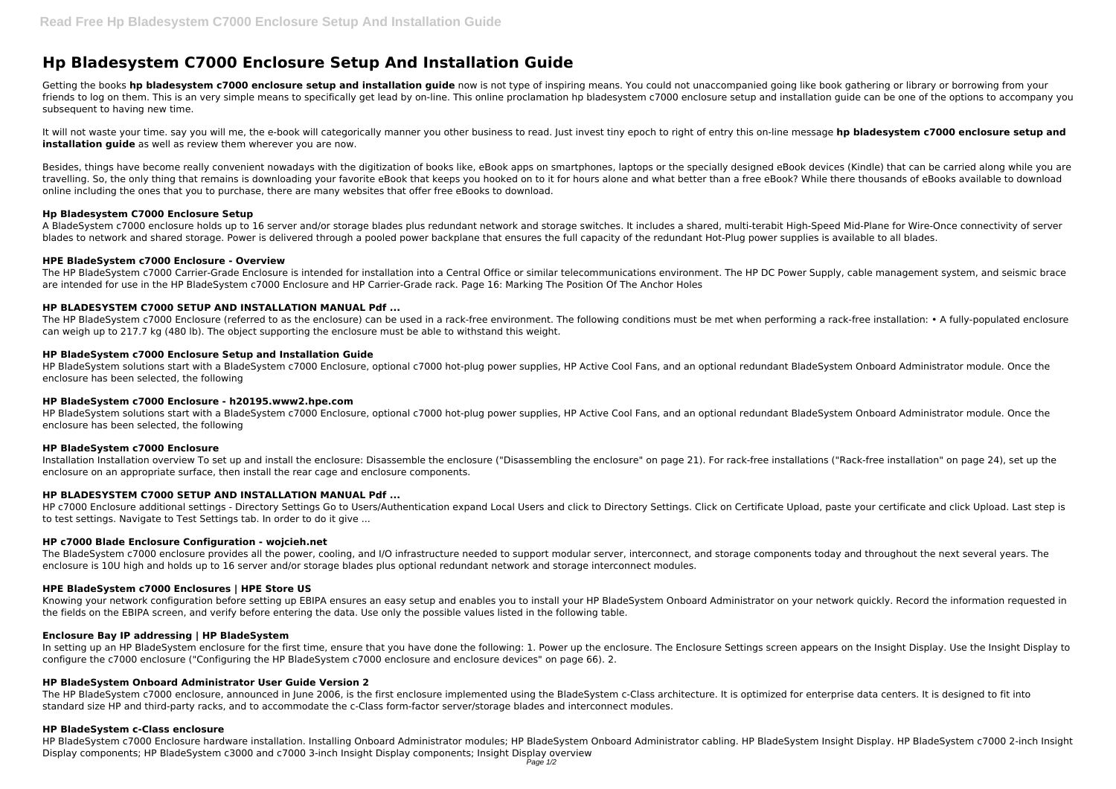# **Hp Bladesystem C7000 Enclosure Setup And Installation Guide**

Getting the books hp bladesystem c7000 enclosure setup and installation guide now is not type of inspiring means. You could not unaccompanied going like book gathering or library or borrowing from your friends to log on them. This is an very simple means to specifically get lead by on-line. This online proclamation hp bladesystem c7000 enclosure setup and installation guide can be one of the options to accompany you subsequent to having new time.

It will not waste your time. say you will me, the e-book will categorically manner you other business to read. Just invest tiny epoch to right of entry this on-line message **hp bladesystem c7000 enclosure setup and installation quide** as well as review them wherever you are now.

Besides, things have become really convenient nowadays with the digitization of books like, eBook apps on smartphones, laptops or the specially designed eBook devices (Kindle) that can be carried along while you are travelling. So, the only thing that remains is downloading your favorite eBook that keeps you hooked on to it for hours alone and what better than a free eBook? While there thousands of eBooks available to download online including the ones that you to purchase, there are many websites that offer free eBooks to download.

The HP BladeSystem c7000 Enclosure (referred to as the enclosure) can be used in a rack-free environment. The following conditions must be met when performing a rack-free installation: • A fully-populated enclosure can weigh up to 217.7 kg (480 lb). The object supporting the enclosure must be able to withstand this weight.

### **Hp Bladesystem C7000 Enclosure Setup**

A BladeSystem c7000 enclosure holds up to 16 server and/or storage blades plus redundant network and storage switches. It includes a shared, multi-terabit High-Speed Mid-Plane for Wire-Once connectivity of server blades to network and shared storage. Power is delivered through a pooled power backplane that ensures the full capacity of the redundant Hot-Plug power supplies is available to all blades.

### **HPE BladeSystem c7000 Enclosure - Overview**

HP c7000 Enclosure additional settings - Directory Settings Go to Users/Authentication expand Local Users and click to Directory Settings. Click on Certificate Upload, paste your certificate and click Upload. Last step is to test settings. Navigate to Test Settings tab. In order to do it give ...

The HP BladeSystem c7000 Carrier-Grade Enclosure is intended for installation into a Central Office or similar telecommunications environment. The HP DC Power Supply, cable management system, and seismic brace are intended for use in the HP BladeSystem c7000 Enclosure and HP Carrier-Grade rack. Page 16: Marking The Position Of The Anchor Holes

# **HP BLADESYSTEM C7000 SETUP AND INSTALLATION MANUAL Pdf ...**

In setting up an HP BladeSystem enclosure for the first time, ensure that you have done the following: 1. Power up the enclosure. The Enclosure Settings screen appears on the Insight Display. Use the Insight Display to configure the c7000 enclosure ("Configuring the HP BladeSystem c7000 enclosure and enclosure devices" on page 66). 2.

# **HP BladeSystem c7000 Enclosure Setup and Installation Guide**

The HP BladeSystem c7000 enclosure, announced in June 2006, is the first enclosure implemented using the BladeSystem c-Class architecture. It is optimized for enterprise data centers. It is designed to fit into standard size HP and third-party racks, and to accommodate the c-Class form-factor server/storage blades and interconnect modules.

HP BladeSystem solutions start with a BladeSystem c7000 Enclosure, optional c7000 hot-plug power supplies, HP Active Cool Fans, and an optional redundant BladeSystem Onboard Administrator module. Once the enclosure has been selected, the following

### **HP BladeSystem c7000 Enclosure - h20195.www2.hpe.com**

HP BladeSystem solutions start with a BladeSystem c7000 Enclosure, optional c7000 hot-plug power supplies, HP Active Cool Fans, and an optional redundant BladeSystem Onboard Administrator module. Once the enclosure has been selected, the following

### **HP BladeSystem c7000 Enclosure**

Installation Installation overview To set up and install the enclosure: Disassemble the enclosure ("Disassembling the enclosure" on page 21). For rack-free installations ("Rack-free installation" on page 24), set up the enclosure on an appropriate surface, then install the rear cage and enclosure components.

# **HP BLADESYSTEM C7000 SETUP AND INSTALLATION MANUAL Pdf ...**

# **HP c7000 Blade Enclosure Configuration - wojcieh.net**

The BladeSystem c7000 enclosure provides all the power, cooling, and I/O infrastructure needed to support modular server, interconnect, and storage components today and throughout the next several years. The enclosure is 10U high and holds up to 16 server and/or storage blades plus optional redundant network and storage interconnect modules.

### **HPE BladeSystem c7000 Enclosures | HPE Store US**

Knowing your network configuration before setting up EBIPA ensures an easy setup and enables you to install your HP BladeSystem Onboard Administrator on your network quickly. Record the information requested in the fields on the EBIPA screen, and verify before entering the data. Use only the possible values listed in the following table.

### **Enclosure Bay IP addressing | HP BladeSystem**

### **HP BladeSystem Onboard Administrator User Guide Version 2**

### **HP BladeSystem c-Class enclosure**

HP BladeSystem c7000 Enclosure hardware installation. Installing Onboard Administrator modules; HP BladeSystem Onboard Administrator cabling. HP BladeSystem Insight Display. HP BladeSystem c7000 2-inch Insight Display components; HP BladeSystem c3000 and c7000 3-inch Insight Display components; Insight Display overview